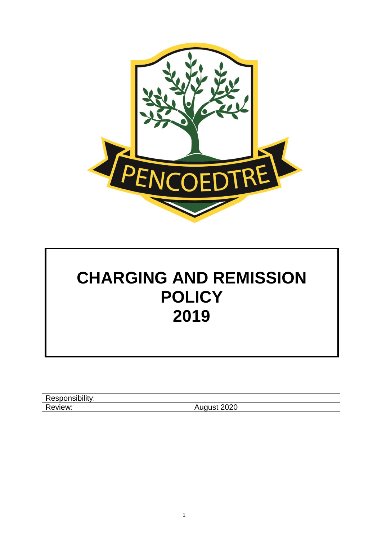

# **CHARGING AND REMISSION POLICY 2019**

| Responsibility:<br>$30.01$ $\mu$ is the figure of $\mu$ |                  |
|---------------------------------------------------------|------------------|
| Review:                                                 | 2020<br>ี Auuusเ |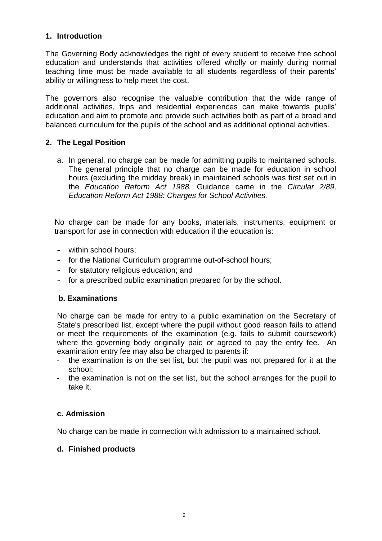## **1. Introduction**

The Governing Body acknowledges the right of every student to receive free school education and understands that activities offered wholly or mainly during normal teaching time must be made available to all students regardless of their parents' ability or willingness to help meet the cost.

The governors also recognise the valuable contribution that the wide range of additional activities, trips and residential experiences can make towards pupils' education and aim to promote and provide such activities both as part of a broad and balanced curriculum for the pupils of the school and as additional optional activities.

## **2. The Legal Position**

a. In general, no charge can be made for admitting pupils to maintained schools. The general principle that no charge can be made for education in school hours (excluding the midday break) in maintained schools was first set out in the *Education Reform Act 1988.* Guidance came in the *Circular 2/89, Education Reform Act 1988: Charges for School Activities.*

No charge can be made for any books, materials, instruments, equipment or transport for use in connection with education if the education is:

- within school hours;
- for the National Curriculum programme out-of-school hours;
- for statutory religious education; and
- for a prescribed public examination prepared for by the school.

# **b. Examinations**

No charge can be made for entry to a public examination on the Secretary of State's prescribed list, except where the pupil without good reason fails to attend or meet the requirements of the examination (e.g. fails to submit coursework) where the governing body originally paid or agreed to pay the entry fee. An examination entry fee may also be charged to parents if:

- the examination is on the set list, but the pupil was not prepared for it at the school;
- the examination is not on the set list, but the school arranges for the pupil to take it.

# **c. Admission**

No charge can be made in connection with admission to a maintained school.

# **d. Finished products**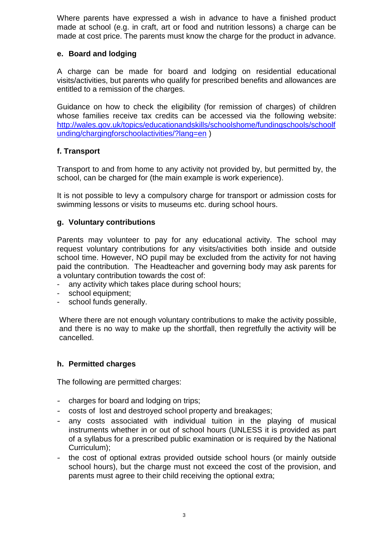Where parents have expressed a wish in advance to have a finished product made at school (e.g. in craft, art or food and nutrition lessons) a charge can be made at cost price. The parents must know the charge for the product in advance.

## **e. Board and lodging**

A charge can be made for board and lodging on residential educational visits/activities, but parents who qualify for prescribed benefits and allowances are entitled to a remission of the charges.

Guidance on how to check the eligibility (for remission of charges) of children whose families receive tax credits can be accessed via the following website: [http://wales.gov.uk/topics/educationandskills/schoolshome/fundingschools/schoolf](http://wales.gov.uk/topics/educationandskills/schoolshome/fundingschools/schoolfunding/chargingforschoolactivities/?lang=en) [unding/chargingforschoolactivities/?lang=en](http://wales.gov.uk/topics/educationandskills/schoolshome/fundingschools/schoolfunding/chargingforschoolactivities/?lang=en) )

## **f. Transport**

Transport to and from home to any activity not provided by, but permitted by, the school, can be charged for (the main example is work experience).

It is not possible to levy a compulsory charge for transport or admission costs for swimming lessons or visits to museums etc. during school hours.

## **g. Voluntary contributions**

Parents may volunteer to pay for any educational activity. The school may request voluntary contributions for any visits/activities both inside and outside school time. However, NO pupil may be excluded from the activity for not having paid the contribution. The Headteacher and governing body may ask parents for a voluntary contribution towards the cost of:

- any activity which takes place during school hours;
- school equipment;
- school funds generally.

Where there are not enough voluntary contributions to make the activity possible, and there is no way to make up the shortfall, then regretfully the activity will be cancelled.

## **h. Permitted charges**

The following are permitted charges:

- charges for board and lodging on trips;
- costs of lost and destroyed school property and breakages;
- any costs associated with individual tuition in the playing of musical instruments whether in or out of school hours (UNLESS it is provided as part of a syllabus for a prescribed public examination or is required by the National Curriculum);
- the cost of optional extras provided outside school hours (or mainly outside school hours), but the charge must not exceed the cost of the provision, and parents must agree to their child receiving the optional extra;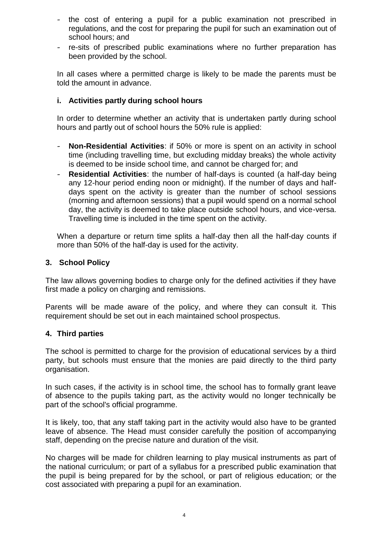- the cost of entering a pupil for a public examination not prescribed in regulations, and the cost for preparing the pupil for such an examination out of school hours; and
- re-sits of prescribed public examinations where no further preparation has been provided by the school.

In all cases where a permitted charge is likely to be made the parents must be told the amount in advance.

## **i. Activities partly during school hours**

In order to determine whether an activity that is undertaken partly during school hours and partly out of school hours the 50% rule is applied:

- **Non-Residential Activities**: if 50% or more is spent on an activity in school time (including travelling time, but excluding midday breaks) the whole activity is deemed to be inside school time, and cannot be charged for; and
- **Residential Activities**: the number of half-days is counted (a half-day being any 12-hour period ending noon or midnight). If the number of days and halfdays spent on the activity is greater than the number of school sessions (morning and afternoon sessions) that a pupil would spend on a normal school day, the activity is deemed to take place outside school hours, and vice-versa. Travelling time is included in the time spent on the activity.

When a departure or return time splits a half-day then all the half-day counts if more than 50% of the half-day is used for the activity.

## **3. School Policy**

The law allows governing bodies to charge only for the defined activities if they have first made a policy on charging and remissions.

Parents will be made aware of the policy, and where they can consult it. This requirement should be set out in each maintained school prospectus.

## **4. Third parties**

The school is permitted to charge for the provision of educational services by a third party, but schools must ensure that the monies are paid directly to the third party organisation.

In such cases, if the activity is in school time, the school has to formally grant leave of absence to the pupils taking part, as the activity would no longer technically be part of the school's official programme.

It is likely, too, that any staff taking part in the activity would also have to be granted leave of absence. The Head must consider carefully the position of accompanying staff, depending on the precise nature and duration of the visit.

No charges will be made for children learning to play musical instruments as part of the national curriculum; or part of a syllabus for a prescribed public examination that the pupil is being prepared for by the school, or part of religious education; or the cost associated with preparing a pupil for an examination.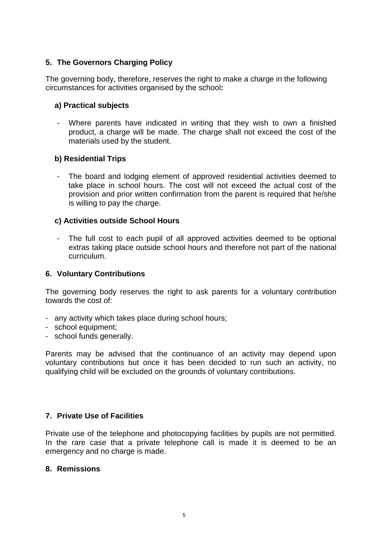## **5. The Governors Charging Policy**

The governing body, therefore, reserves the right to make a charge in the following circumstances for activities organised by the school**:**

## **a) Practical subjects**

- Where parents have indicated in writing that they wish to own a finished product, a charge will be made. The charge shall not exceed the cost of the materials used by the student.

## **b) Residential Trips**

The board and lodging element of approved residential activities deemed to take place in school hours. The cost will not exceed the actual cost of the provision and prior written confirmation from the parent is required that he/she is willing to pay the charge.

## **c) Activities outside School Hours**

The full cost to each pupil of all approved activities deemed to be optional extras taking place outside school hours and therefore not part of the national curriculum.

## **6. Voluntary Contributions**

The governing body reserves the right to ask parents for a voluntary contribution towards the cost of:

- any activity which takes place during school hours;
- school equipment;
- school funds generally.

Parents may be advised that the continuance of an activity may depend upon voluntary contributions but once it has been decided to run such an activity, no qualifying child will be excluded on the grounds of voluntary contributions.

## **7. Private Use of Facilities**

Private use of the telephone and photocopying facilities by pupils are not permitted. In the rare case that a private telephone call is made it is deemed to be an emergency and no charge is made.

## **8. Remissions**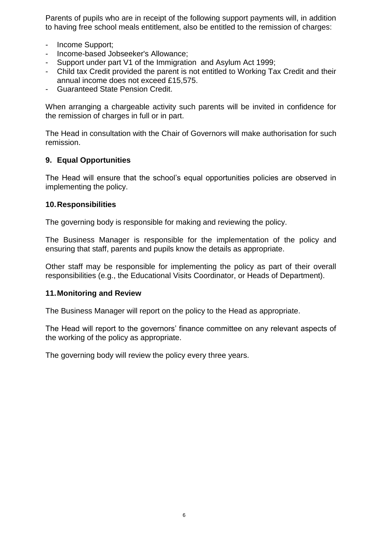Parents of pupils who are in receipt of the following support payments will, in addition to having free school meals entitlement, also be entitled to the remission of charges:

- Income Support;
- Income-based Jobseeker's Allowance;
- Support under part V1 of the Immigration and Asylum Act 1999;
- Child tax Credit provided the parent is not entitled to Working Tax Credit and their annual income does not exceed £15,575.
- Guaranteed State Pension Credit.

When arranging a chargeable activity such parents will be invited in confidence for the remission of charges in full or in part.

The Head in consultation with the Chair of Governors will make authorisation for such remission.

## **9. Equal Opportunities**

The Head will ensure that the school's equal opportunities policies are observed in implementing the policy.

## **10.Responsibilities**

The governing body is responsible for making and reviewing the policy.

The Business Manager is responsible for the implementation of the policy and ensuring that staff, parents and pupils know the details as appropriate.

Other staff may be responsible for implementing the policy as part of their overall responsibilities (e.g., the Educational Visits Coordinator, or Heads of Department).

## **11.Monitoring and Review**

The Business Manager will report on the policy to the Head as appropriate.

The Head will report to the governors' finance committee on any relevant aspects of the working of the policy as appropriate.

The governing body will review the policy every three years.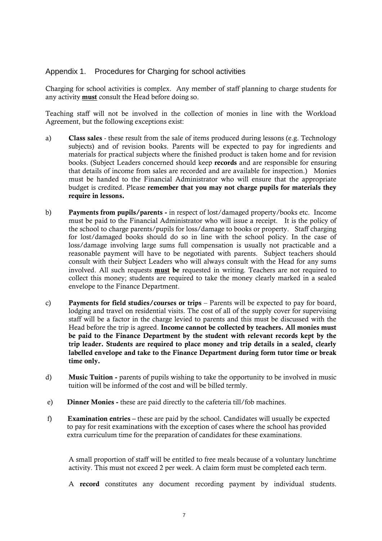#### Appendix 1. Procedures for Charging for school activities

Charging for school activities is complex. Any member of staff planning to charge students for any activity must consult the Head before doing so.

Teaching staff will not be involved in the collection of monies in line with the Workload Agreement, but the following exceptions exist:

- a) Class sales these result from the sale of items produced during lessons (e.g. Technology subjects) and of revision books. Parents will be expected to pay for ingredients and materials for practical subjects where the finished product is taken home and for revision books. (Subject Leaders concerned should keep records and are responsible for ensuring that details of income from sales are recorded and are available for inspection.) Monies must be handed to the Financial Administrator who will ensure that the appropriate budget is credited. Please remember that you may not charge pupils for materials they require in lessons.
- b) Payments from pupils/parents in respect of lost/damaged property/books etc. Income must be paid to the Financial Administrator who will issue a receipt. It is the policy of the school to charge parents/pupils for loss/damage to books or property. Staff charging for lost/damaged books should do so in line with the school policy. In the case of loss/damage involving large sums full compensation is usually not practicable and a reasonable payment will have to be negotiated with parents. Subject teachers should consult with their Subject Leaders who will always consult with the Head for any sums involved. All such requests must be requested in writing. Teachers are not required to collect this money; students are required to take the money clearly marked in a sealed envelope to the Finance Department.
- c) Payments for field studies/courses or trips Parents will be expected to pay for board, lodging and travel on residential visits. The cost of all of the supply cover for supervising staff will be a factor in the charge levied to parents and this must be discussed with the Head before the trip is agreed. Income cannot be collected by teachers. All monies must be paid to the Finance Department by the student with relevant records kept by the trip leader. Students are required to place money and trip details in a sealed, clearly labelled envelope and take to the Finance Department during form tutor time or break time only.
- d) Music Tuition parents of pupils wishing to take the opportunity to be involved in music tuition will be informed of the cost and will be billed termly.
- e) Dinner Monies these are paid directly to the cafeteria till/fob machines.
- f) Examination entries these are paid by the school. Candidates will usually be expected to pay for resit examinations with the exception of cases where the school has provided extra curriculum time for the preparation of candidates for these examinations.

A small proportion of staff will be entitled to free meals because of a voluntary lunchtime activity. This must not exceed 2 per week. A claim form must be completed each term.

A record constitutes any document recording payment by individual students.